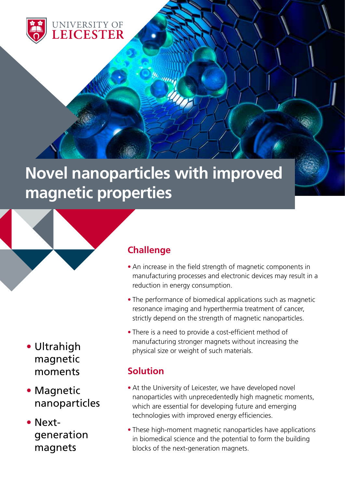

# **Novel nanoparticles with improved magnetic properties**



- Magnetic nanoparticles
- Nextgeneration magnets

## **Challenge**

- An increase in the field strength of magnetic components in manufacturing processes and electronic devices may result in a reduction in energy consumption.
- The performance of biomedical applications such as magnetic resonance imaging and hyperthermia treatment of cancer, strictly depend on the strength of magnetic nanoparticles.
- There is a need to provide a cost-efficient method of manufacturing stronger magnets without increasing the physical size or weight of such materials.

## **Solution**

- At the University of Leicester, we have developed novel nanoparticles with unprecedentedly high magnetic moments, which are essential for developing future and emerging technologies with improved energy efficiencies.
- These high-moment magnetic nanoparticles have applications in biomedical science and the potential to form the building blocks of the next-generation magnets.